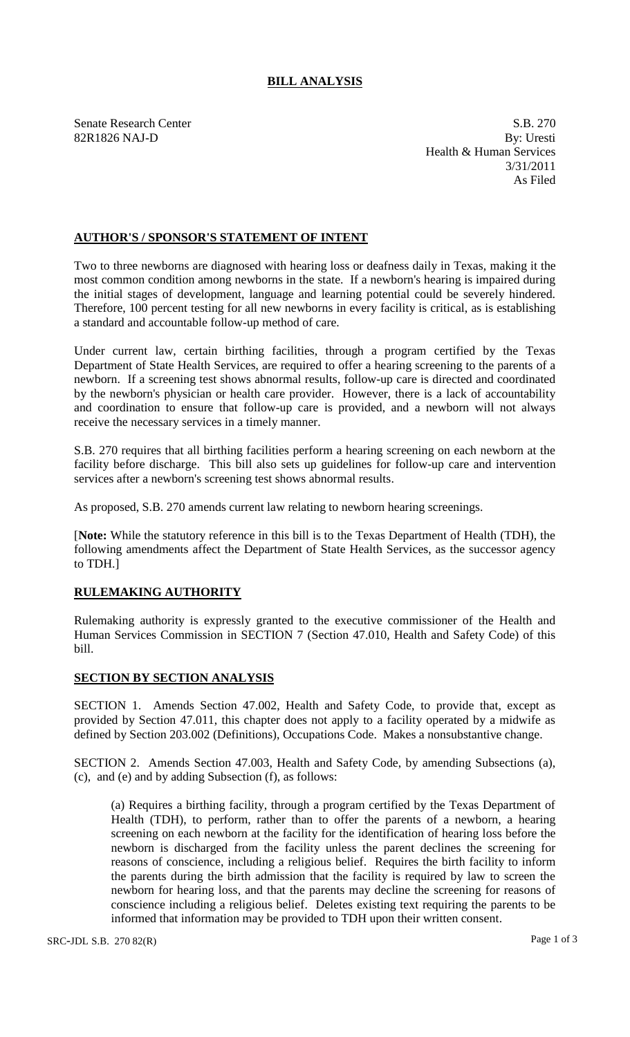## **BILL ANALYSIS**

Senate Research Center S.B. 270 82R1826 NAJ-D By: Uresti Health & Human Services 3/31/2011 As Filed

## **AUTHOR'S / SPONSOR'S STATEMENT OF INTENT**

Two to three newborns are diagnosed with hearing loss or deafness daily in Texas, making it the most common condition among newborns in the state. If a newborn's hearing is impaired during the initial stages of development, language and learning potential could be severely hindered. Therefore, 100 percent testing for all new newborns in every facility is critical, as is establishing a standard and accountable follow-up method of care.

Under current law, certain birthing facilities, through a program certified by the Texas Department of State Health Services, are required to offer a hearing screening to the parents of a newborn. If a screening test shows abnormal results, follow-up care is directed and coordinated by the newborn's physician or health care provider. However, there is a lack of accountability and coordination to ensure that follow-up care is provided, and a newborn will not always receive the necessary services in a timely manner.

S.B. 270 requires that all birthing facilities perform a hearing screening on each newborn at the facility before discharge. This bill also sets up guidelines for follow-up care and intervention services after a newborn's screening test shows abnormal results.

As proposed, S.B. 270 amends current law relating to newborn hearing screenings.

[**Note:** While the statutory reference in this bill is to the Texas Department of Health (TDH), the following amendments affect the Department of State Health Services, as the successor agency to TDH.]

## **RULEMAKING AUTHORITY**

Rulemaking authority is expressly granted to the executive commissioner of the Health and Human Services Commission in SECTION 7 (Section 47.010, Health and Safety Code) of this bill.

## **SECTION BY SECTION ANALYSIS**

SECTION 1. Amends Section 47.002, Health and Safety Code, to provide that, except as provided by Section 47.011, this chapter does not apply to a facility operated by a midwife as defined by Section 203.002 (Definitions), Occupations Code. Makes a nonsubstantive change.

SECTION 2. Amends Section 47.003, Health and Safety Code, by amending Subsections (a), (c), and (e) and by adding Subsection (f), as follows:

(a) Requires a birthing facility, through a program certified by the Texas Department of Health (TDH), to perform, rather than to offer the parents of a newborn, a hearing screening on each newborn at the facility for the identification of hearing loss before the newborn is discharged from the facility unless the parent declines the screening for reasons of conscience, including a religious belief. Requires the birth facility to inform the parents during the birth admission that the facility is required by law to screen the newborn for hearing loss, and that the parents may decline the screening for reasons of conscience including a religious belief. Deletes existing text requiring the parents to be informed that information may be provided to TDH upon their written consent.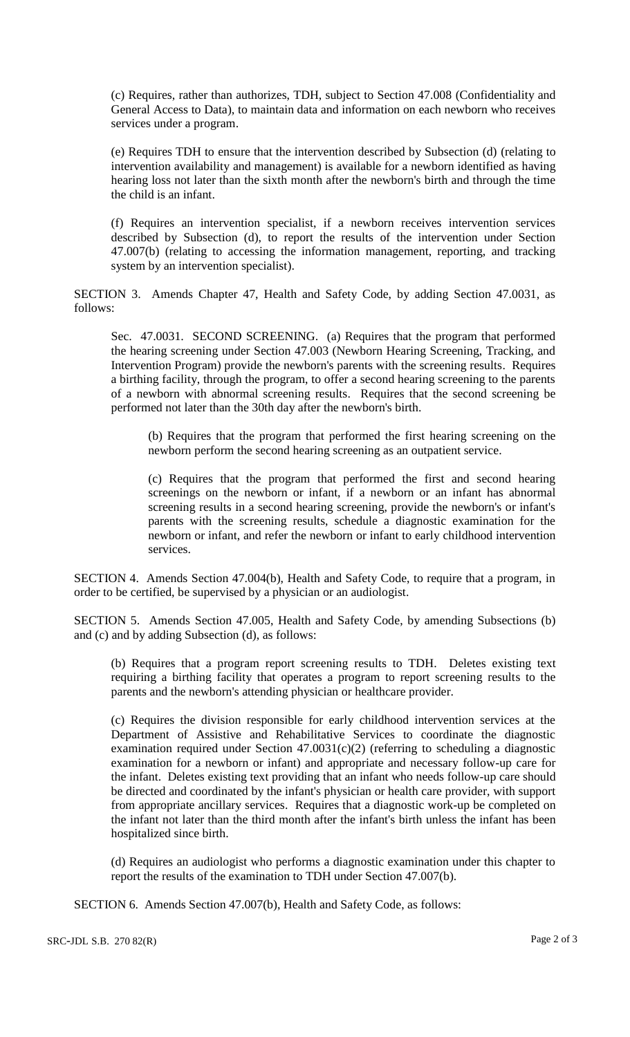(c) Requires, rather than authorizes, TDH, subject to Section 47.008 (Confidentiality and General Access to Data), to maintain data and information on each newborn who receives services under a program.

(e) Requires TDH to ensure that the intervention described by Subsection (d) (relating to intervention availability and management) is available for a newborn identified as having hearing loss not later than the sixth month after the newborn's birth and through the time the child is an infant.

(f) Requires an intervention specialist, if a newborn receives intervention services described by Subsection (d), to report the results of the intervention under Section 47.007(b) (relating to accessing the information management, reporting, and tracking system by an intervention specialist).

SECTION 3. Amends Chapter 47, Health and Safety Code, by adding Section 47.0031, as follows:

Sec. 47.0031. SECOND SCREENING. (a) Requires that the program that performed the hearing screening under Section 47.003 (Newborn Hearing Screening, Tracking, and Intervention Program) provide the newborn's parents with the screening results. Requires a birthing facility, through the program, to offer a second hearing screening to the parents of a newborn with abnormal screening results. Requires that the second screening be performed not later than the 30th day after the newborn's birth.

(b) Requires that the program that performed the first hearing screening on the newborn perform the second hearing screening as an outpatient service.

(c) Requires that the program that performed the first and second hearing screenings on the newborn or infant, if a newborn or an infant has abnormal screening results in a second hearing screening, provide the newborn's or infant's parents with the screening results, schedule a diagnostic examination for the newborn or infant, and refer the newborn or infant to early childhood intervention services.

SECTION 4. Amends Section 47.004(b), Health and Safety Code, to require that a program, in order to be certified, be supervised by a physician or an audiologist.

SECTION 5. Amends Section 47.005, Health and Safety Code, by amending Subsections (b) and (c) and by adding Subsection (d), as follows:

(b) Requires that a program report screening results to TDH. Deletes existing text requiring a birthing facility that operates a program to report screening results to the parents and the newborn's attending physician or healthcare provider.

(c) Requires the division responsible for early childhood intervention services at the Department of Assistive and Rehabilitative Services to coordinate the diagnostic examination required under Section  $47.0031(c)(2)$  (referring to scheduling a diagnostic examination for a newborn or infant) and appropriate and necessary follow-up care for the infant. Deletes existing text providing that an infant who needs follow-up care should be directed and coordinated by the infant's physician or health care provider, with support from appropriate ancillary services. Requires that a diagnostic work-up be completed on the infant not later than the third month after the infant's birth unless the infant has been hospitalized since birth.

(d) Requires an audiologist who performs a diagnostic examination under this chapter to report the results of the examination to TDH under Section 47.007(b).

SECTION 6. Amends Section 47.007(b), Health and Safety Code, as follows: